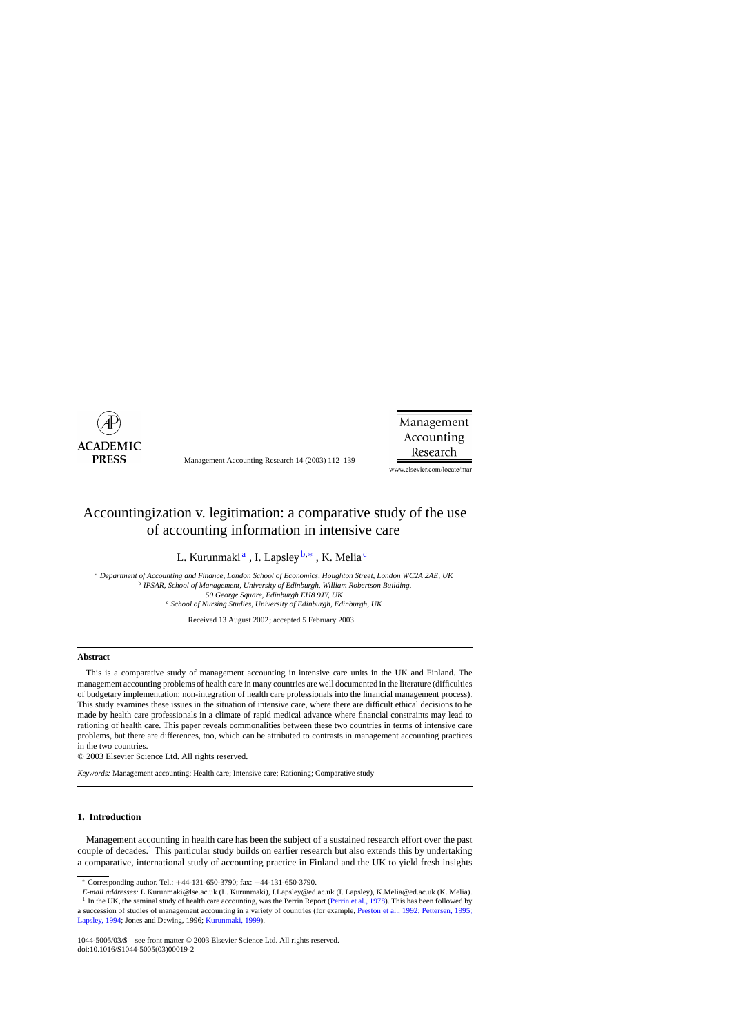

Management Accounting Research 14 (2003) 112–139

Management Accounting Research

www.elsevier.com/locate/mar

# Accountingization v. legitimation: a comparative study of the use of accounting information in intensive care

L. Kurunmaki<sup>a</sup>, I. Lapsley  $b^*$ , K. Melia<sup>c</sup>

<sup>a</sup> *Department of Accounting and Finance, London School of Economics, Houghton Street, London WC2A 2AE, UK* <sup>b</sup> *IPSAR, School of Management, University of Edinburgh, William Robertson Building, 50 George Square, Edinburgh EH8 9JY, UK* <sup>c</sup> *School of Nursing Studies, University of Edinburgh, Edinburgh, UK*

Received 13 August 2002; accepted 5 February 2003

#### **Abstract**

This is a comparative study of management accounting in intensive care units in the UK and Finland. The management accounting problems of health care in many countries are well documented in the literature (difficulties of budgetary implementation: non-integration of health care professionals into the financial management process). This study examines these issues in the situation of intensive care, where there are difficult ethical decisions to be made by health care professionals in a climate of rapid medical advance where financial constraints may lead to rationing of health care. This paper reveals commonalities between these two countries in terms of intensive care problems, but there are differences, too, which can be attributed to contrasts in management accounting practices in the two countries.

© 2003 Elsevier Science Ltd. All rights reserved.

*Keywords:* Management accounting; Health care; Intensive care; Rationing; Comparative study

## **1. Introduction**

Management accounting in health care has been the subject of a sustained research effort over the past couple of decades.<sup>1</sup> This particular study builds on earlier research but also extends this by undertaking a comparative, international study of accounting practice in Finland and the UK to yield fresh insights

<sup>∗</sup> Corresponding author. Tel.: +44-131-650-3790; fax: +44-131-650-3790.

*E-mail addresses:* L.Kurunmaki@lse.ac.uk (L. Kurunmaki), I.Lapsley@ed.ac.uk (I. Lapsley), K.Melia@ed.ac.uk (K. Melia). <sup>1</sup> In the UK, the seminal study of health care accounting, was the Perrin Report [\(Perrin et al., 1978\).](#page--1-0) This has been followed by a succession of studies of management accounting in a variety of countries (for example, [Preston et al., 1992; Pettersen, 1995;](#page--1-0) [Lapsley, 1994;](#page--1-0) Jones and Dewing, 1996; [Kurunmaki, 1999\).](#page--1-0)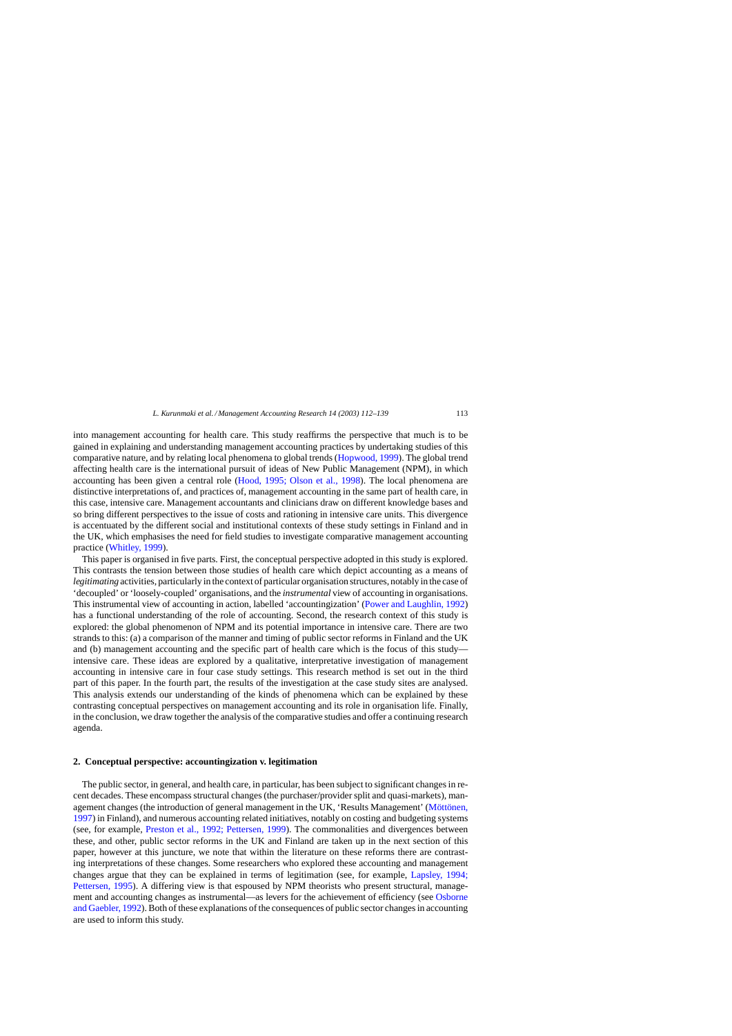into management accounting for health care. This study reaffirms the perspective that much is to be gained in explaining and understanding management accounting practices by undertaking studies of this comparative nature, and by relating local phenomena to global trends ([Hopwood, 1999\).](#page--1-0) The global trend affecting health care is the international pursuit of ideas of New Public Management (NPM), in which accounting has been given a central role ([Hood, 1995; Olson et al., 1998](#page--1-0)). The local phenomena are distinctive interpretations of, and practices of, management accounting in the same part of health care, in this case, intensive care. Management accountants and clinicians draw on different knowledge bases and so bring different perspectives to the issue of costs and rationing in intensive care units. This divergence is accentuated by the different social and institutional contexts of these study settings in Finland and in the UK, which emphasises the need for field studies to investigate comparative management accounting practice [\(Whitley, 1999\).](#page--1-0)

This paper is organised in five parts. First, the conceptual perspective adopted in this study is explored. This contrasts the tension between those studies of health care which depict accounting as a means of *legitimating* activities, particularly in the context of particular organisation structures, notably in the case of 'decoupled' or 'loosely-coupled' organisations, and the *instrumental* view of accounting in organisations. This instrumental view of accounting in action, labelled 'accountingization' [\(Power and Laughlin, 1992\)](#page--1-0) has a functional understanding of the role of accounting. Second, the research context of this study is explored: the global phenomenon of NPM and its potential importance in intensive care. There are two strands to this: (a) a comparison of the manner and timing of public sector reforms in Finland and the UK and (b) management accounting and the specific part of health care which is the focus of this study intensive care. These ideas are explored by a qualitative, interpretative investigation of management accounting in intensive care in four case study settings. This research method is set out in the third part of this paper. In the fourth part, the results of the investigation at the case study sites are analysed. This analysis extends our understanding of the kinds of phenomena which can be explained by these contrasting conceptual perspectives on management accounting and its role in organisation life. Finally, in the conclusion, we draw together the analysis of the comparative studies and offer a continuing research agenda.

### **2. Conceptual perspective: accountingization v. legitimation**

The public sector, in general, and health care, in particular, has been subject to significant changes in recent decades. These encompass structural changes (the purchaser/provider split and quasi-markets), management changes (the introduction of general management in the UK, 'Results Management' [\(Möttönen,](#page--1-0) [1997\)](#page--1-0) in Finland), and numerous accounting related initiatives, notably on costing and budgeting systems (see, for example, [Preston et al., 1992; Pettersen, 1999\)](#page--1-0). The commonalities and divergences between these, and other, public sector reforms in the UK and Finland are taken up in the next section of this paper, however at this juncture, we note that within the literature on these reforms there are contrasting interpretations of these changes. Some researchers who explored these accounting and management changes argue that they can be explained in terms of legitimation (see, for example, [Lapsley, 1994;](#page--1-0) [Pettersen, 1995\).](#page--1-0) A differing view is that espoused by NPM theorists who present structural, management and accounting changes as instrumental—as levers for the achievement of efficiency (see [Osborne](#page--1-0) [and Gaebler, 1992\).](#page--1-0) Both of these explanations of the consequences of public sector changes in accounting are used to inform this study.